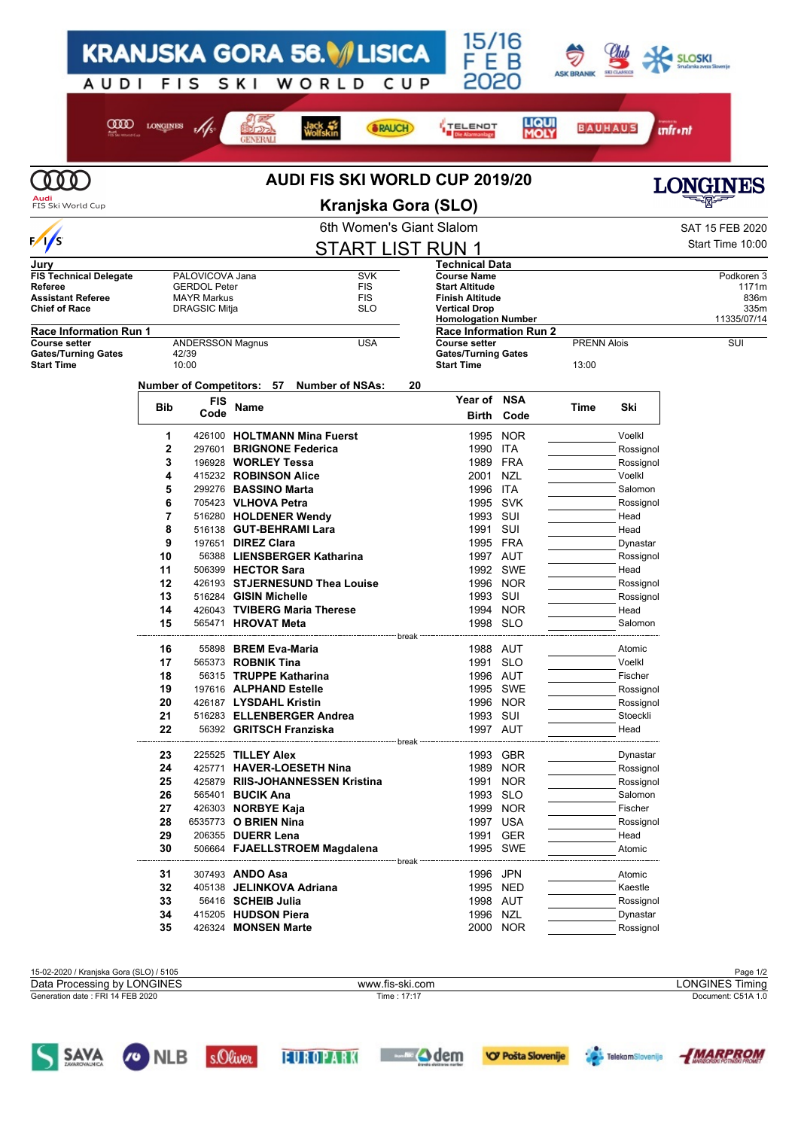|                                                                                              |                                  |                                                                                      |                                                      | <b>KRANJSKA GORA 56. VLISICA</b>                 |                                                      |     | 15/16<br>F E.                                                                                 |                      |                    |                        |                                     |
|----------------------------------------------------------------------------------------------|----------------------------------|--------------------------------------------------------------------------------------|------------------------------------------------------|--------------------------------------------------|------------------------------------------------------|-----|-----------------------------------------------------------------------------------------------|----------------------|--------------------|------------------------|-------------------------------------|
| AUDI                                                                                         | <b>FIS</b>                       |                                                                                      | SKI                                                  | WORLD                                            |                                                      | CUP | 2020                                                                                          |                      | <b>ASK BRANIK</b>  | <b>SKI CLASSICS</b>    |                                     |
| അന                                                                                           | <b>LONGINES</b>                  |                                                                                      |                                                      | ack<br>Volfskin                                  | <b>&amp; RAUCH</b>                                   |     | <b>TELENOT</b>                                                                                | <b>LIQUI</b><br>MOLY | <b>BAUHAUS</b>     |                        | <b>unfr</b> •nt                     |
|                                                                                              |                                  |                                                                                      |                                                      |                                                  |                                                      |     |                                                                                               |                      |                    |                        |                                     |
| 000                                                                                          |                                  |                                                                                      |                                                      | <b>AUDI FIS SKI WORLD CUP 2019/20</b>            |                                                      |     |                                                                                               |                      |                    |                        | <b>LONGINES</b>                     |
| FIS Ski World Cup                                                                            |                                  |                                                                                      |                                                      |                                                  | Kranjska Gora (SLO)                                  |     |                                                                                               |                      |                    |                        |                                     |
|                                                                                              |                                  |                                                                                      |                                                      |                                                  | 6th Women's Giant Slalom                             |     |                                                                                               |                      |                    |                        | SAT 15 FEB 2020                     |
| $\frac{1}{s}$                                                                                |                                  |                                                                                      |                                                      |                                                  | <b>START LIST RUN 1</b>                              |     |                                                                                               |                      |                    |                        | Start Time 10:00                    |
| Jury                                                                                         |                                  |                                                                                      |                                                      |                                                  |                                                      |     | Technical Data                                                                                |                      |                    |                        |                                     |
| <b>FIS Technical Delegate</b><br>Referee<br><b>Assistant Referee</b><br><b>Chief of Race</b> |                                  | PALOVICOVA Jana<br><b>GERDOL Peter</b><br><b>MAYR Markus</b><br><b>DRAGSIC Mitja</b> |                                                      |                                                  | <b>SVK</b><br><b>FIS</b><br><b>FIS</b><br><b>SLO</b> |     | <b>Course Name</b><br><b>Start Altitude</b><br><b>Finish Altitude</b><br><b>Vertical Drop</b> |                      |                    |                        | Podkoren 3<br>1171m<br>836m<br>335m |
| <b>Race Information Run 1</b>                                                                |                                  |                                                                                      |                                                      |                                                  |                                                      |     | <b>Homologation Number</b><br><b>Race Information Run 2</b>                                   |                      |                    |                        | 11335/07/14                         |
| <b>Course setter</b><br><b>Gates/Turning Gates</b>                                           | 42/39                            | <b>ANDERSSON Magnus</b>                                                              |                                                      |                                                  | <b>USA</b>                                           |     | <b>Course setter</b><br><b>Gates/Turning Gates</b>                                            |                      | <b>PRENN Alois</b> |                        | SUI                                 |
| <b>Start Time</b>                                                                            | 10:00                            |                                                                                      |                                                      |                                                  |                                                      |     | <b>Start Time</b>                                                                             |                      | 13:00              |                        |                                     |
|                                                                                              | <b>Number of Competitors: 57</b> |                                                                                      |                                                      |                                                  | <b>Number of NSAs:</b>                               | 20  |                                                                                               |                      |                    |                        |                                     |
|                                                                                              | <b>Bib</b>                       | FIS<br>Code                                                                          | Name                                                 |                                                  |                                                      |     | Year of<br><b>Birth</b>                                                                       | <b>NSA</b><br>Code   | Time               | Ski                    |                                     |
|                                                                                              | 1                                |                                                                                      |                                                      | 426100 HOLTMANN Mina Fuerst                      |                                                      |     | 1995                                                                                          | <b>NOR</b>           |                    | Voelkl                 |                                     |
|                                                                                              | 2<br>3                           |                                                                                      |                                                      | 297601 BRIGNONE Federica<br>196928 WORLEY Tessa  |                                                      |     | 1990<br>1989                                                                                  | ITA<br><b>FRA</b>    |                    | Rossignol<br>Rossignol |                                     |
|                                                                                              | 4                                |                                                                                      |                                                      | 415232 ROBINSON Alice                            |                                                      |     | 2001                                                                                          | <b>NZL</b>           |                    | Voelkl                 |                                     |
|                                                                                              | 5                                |                                                                                      |                                                      | 299276 <b>BASSINO Marta</b>                      |                                                      |     | 1996                                                                                          | ITA                  |                    | Salomon                |                                     |
|                                                                                              | 6                                |                                                                                      | 705423 VLHOVA Petra                                  |                                                  |                                                      |     | 1995                                                                                          | <b>SVK</b>           |                    | Rossignol              |                                     |
|                                                                                              | $\overline{7}$<br>8              |                                                                                      |                                                      | 516280 HOLDENER Wendy<br>516138 GUT-BEHRAMI Lara |                                                      |     | 1993<br>1991                                                                                  | SUI<br>SUI           |                    | Head<br>Head           |                                     |
|                                                                                              | 9                                |                                                                                      | 197651 <b>DIREZ Clara</b>                            |                                                  |                                                      |     | 1995                                                                                          | FRA                  |                    | Dynastar               |                                     |
|                                                                                              | 10                               |                                                                                      |                                                      | 56388 LIENSBERGER Katharina                      |                                                      |     | 1997 AUT                                                                                      |                      |                    | Rossignol              |                                     |
|                                                                                              | 11<br>12                         |                                                                                      | 506399 HECTOR Sara                                   | 426193 STJERNESUND Thea Louise                   |                                                      |     |                                                                                               | 1992 SWE<br>1996 NOR |                    | Head                   |                                     |
|                                                                                              | 13                               |                                                                                      | 516284 GISIN Michelle                                |                                                  |                                                      |     | 1993                                                                                          | SUI                  |                    | Rossignol<br>Rossignol |                                     |
|                                                                                              | 14                               |                                                                                      |                                                      | 426043 TVIBERG Maria Therese                     |                                                      |     | 1994                                                                                          | <b>NOR</b>           |                    | Head                   |                                     |
|                                                                                              | 15                               |                                                                                      | 565471 HROVAT Meta                                   |                                                  |                                                      |     | 1998 SLO<br>--------------------------------------                                            |                      |                    | Salomon                |                                     |
|                                                                                              | 16                               |                                                                                      |                                                      | 55898 BREM Eva-Maria                             |                                                      |     |                                                                                               | 1988 AUT             |                    | Atomic                 |                                     |
|                                                                                              | 17                               |                                                                                      | 565373 <b>ROBNIK Tina</b>                            |                                                  |                                                      |     | 1991 SLO                                                                                      |                      |                    | Voelkl                 |                                     |
|                                                                                              | 18<br>19                         |                                                                                      |                                                      | 56315 TRUPPE Katharina<br>197616 ALPHAND Estelle |                                                      |     |                                                                                               | 1996 AUT<br>1995 SWE |                    | Fischer<br>Rossignol   |                                     |
|                                                                                              | 20                               |                                                                                      |                                                      | 426187 LYSDAHL Kristin                           |                                                      |     |                                                                                               | 1996 NOR             |                    | Rossignol              |                                     |
|                                                                                              | 21                               |                                                                                      |                                                      | 516283 ELLENBERGER Andrea                        |                                                      |     | 1993 SUI                                                                                      |                      |                    | Stoeckli               |                                     |
|                                                                                              | 22                               |                                                                                      |                                                      | 56392 GRITSCH Franziska                          |                                                      |     | 1997 AUT                                                                                      |                      |                    | Head                   |                                     |
|                                                                                              | 23                               |                                                                                      | 225525 <b>TILLEY Alex</b>                            |                                                  |                                                      |     |                                                                                               | 1993 GBR             |                    | Dynastar               |                                     |
|                                                                                              | 24                               |                                                                                      |                                                      | 425771 HAVER-LOESETH Nina                        |                                                      |     |                                                                                               | 1989 NOR             |                    | Rossignol              |                                     |
|                                                                                              | 25                               |                                                                                      |                                                      | 425879 RIIS-JOHANNESSEN Kristina                 |                                                      |     |                                                                                               | 1991 NOR             |                    | Rossignol              |                                     |
|                                                                                              | 26<br>27                         |                                                                                      | 565401 <b>BUCIK Ana</b><br>426303 <b>NORBYE Kaja</b> |                                                  |                                                      |     |                                                                                               | 1993 SLO<br>1999 NOR |                    | Salomon<br>Fischer     |                                     |
|                                                                                              | 28                               | 6535773 O BRIEN Nina                                                                 |                                                      |                                                  |                                                      |     |                                                                                               | 1997 USA             |                    | Rossignol              |                                     |
|                                                                                              | 29                               |                                                                                      | 206355 DUERR Lena                                    |                                                  |                                                      |     |                                                                                               | 1991 GER             |                    | Head                   |                                     |
|                                                                                              | 30                               |                                                                                      |                                                      | 506664 FJAELLSTROEM Magdalena                    |                                                      |     |                                                                                               | 1995 SWE             |                    | Atomic                 |                                     |
|                                                                                              | 31                               |                                                                                      | 307493 ANDO Asa                                      |                                                  |                                                      |     | 1996 JPN                                                                                      |                      |                    | Atomic                 |                                     |
|                                                                                              | 32                               |                                                                                      |                                                      | 405138 JELINKOVA Adriana                         |                                                      |     |                                                                                               | 1995 NED             |                    | Kaestle<br>Rossignol   |                                     |
|                                                                                              |                                  |                                                                                      |                                                      |                                                  |                                                      |     |                                                                                               |                      |                    |                        |                                     |
|                                                                                              | 33<br>34                         |                                                                                      | 56416 SCHEIB Julia                                   | 415205 HUDSON Piera                              |                                                      |     | 1998 AUT<br>1996 NZL                                                                          |                      |                    | Dynastar               |                                     |

| 15-02-2020 / Kraniska Gora (SLO) / 5105 |                 | Page 1/2               |
|-----------------------------------------|-----------------|------------------------|
| Data Processing by LONGINES             | www.fis-ski.com | <b>LONGINES Timing</b> |
| Generation date : FRI 14 FEB 2020       | Time: 17:17     | Document: C51A 1.0     |
|                                         |                 |                        |